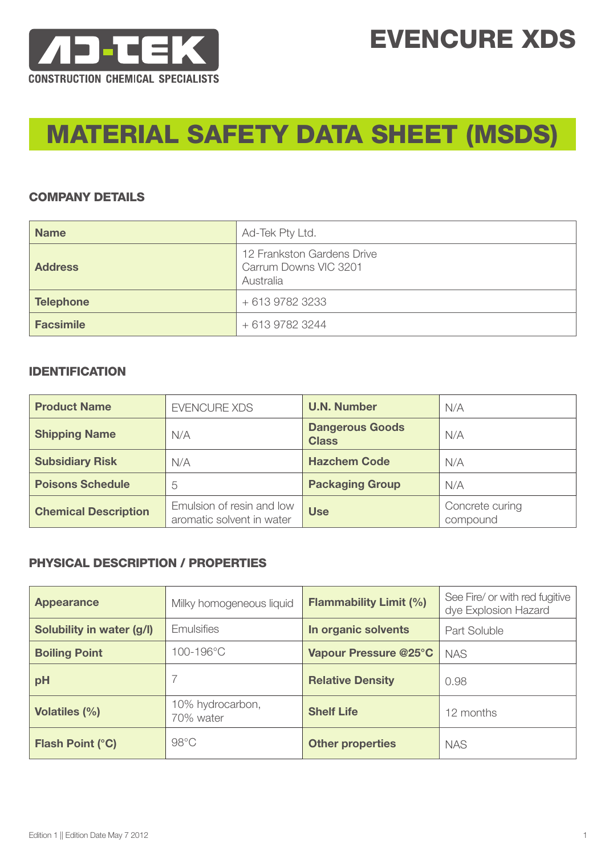

# EVENCURE XDS

# MATERIAL SAFETY DATA SHEET (MSDS)

#### COMPANY DETAILS

| <b>Name</b>      | Ad-Tek Pty Ltd.                                                  |
|------------------|------------------------------------------------------------------|
| <b>Address</b>   | 12 Frankston Gardens Drive<br>Carrum Downs VIC 3201<br>Australia |
| <b>Telephone</b> | + 613 9782 3233                                                  |
| <b>Facsimile</b> | + 613 9782 3244                                                  |

#### IDENTIFICATION

| <b>Product Name</b>         | <b>EVENCURE XDS</b>                                    | <b>U.N. Number</b>                     | N/A                         |
|-----------------------------|--------------------------------------------------------|----------------------------------------|-----------------------------|
| <b>Shipping Name</b>        | N/A                                                    | <b>Dangerous Goods</b><br><b>Class</b> | N/A                         |
| <b>Subsidiary Risk</b>      | N/A                                                    | <b>Hazchem Code</b>                    | N/A                         |
| <b>Poisons Schedule</b>     | 5                                                      | <b>Packaging Group</b>                 | N/A                         |
| <b>Chemical Description</b> | Emulsion of resin and low<br>aromatic solvent in water | <b>Use</b>                             | Concrete curing<br>compound |

## PHYSICAL DESCRIPTION / PROPERTIES

| <b>Appearance</b>         | Milky homogeneous liquid      | <b>Flammability Limit (%)</b> | See Fire/ or with red fugitive<br>dye Explosion Hazard |
|---------------------------|-------------------------------|-------------------------------|--------------------------------------------------------|
| Solubility in water (g/l) | <b>Emulsifies</b>             | In organic solvents           | <b>Part Soluble</b>                                    |
| <b>Boiling Point</b>      | 100-196°C                     | Vapour Pressure @25°C         | <b>NAS</b>                                             |
| pH                        |                               | <b>Relative Density</b>       | 0.98                                                   |
| <b>Volatiles (%)</b>      | 10% hydrocarbon,<br>70% water | <b>Shelf Life</b>             | 12 months                                              |
| <b>Flash Point (°C)</b>   | $98^{\circ}$ C                | <b>Other properties</b>       | <b>NAS</b>                                             |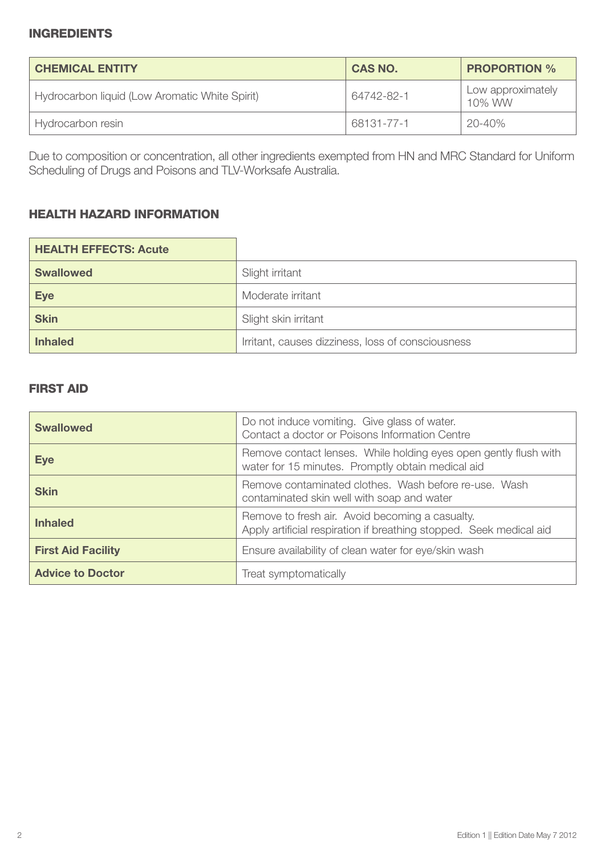#### INGREDIENTS

| <b>CHEMICAL ENTITY</b>                         | <b>CAS NO.</b> | <b>PROPORTION %</b>         |
|------------------------------------------------|----------------|-----------------------------|
| Hydrocarbon liquid (Low Aromatic White Spirit) | 64742-82-1     | Low approximately<br>10% WW |
| Hydrocarbon resin                              | 68131-77-1     | 20-40%                      |

Due to composition or concentration, all other ingredients exempted from HN and MRC Standard for Uniform Scheduling of Drugs and Poisons and TLV-Worksafe Australia.

#### HEALTH HAZARD INFORMATION

| <b>HEALTH EFFECTS: Acute</b> |                                                   |
|------------------------------|---------------------------------------------------|
| <b>Swallowed</b>             | Slight irritant                                   |
| <b>Eye</b>                   | Moderate irritant                                 |
| <b>Skin</b>                  | Slight skin irritant                              |
| <b>Inhaled</b>               | Irritant, causes dizziness, loss of consciousness |

# FIRST AID

| <b>Swallowed</b>          | Do not induce vomiting. Give glass of water.<br>Contact a doctor or Poisons Information Centre                         |  |
|---------------------------|------------------------------------------------------------------------------------------------------------------------|--|
| <b>Eye</b>                | Remove contact lenses. While holding eyes open gently flush with<br>water for 15 minutes. Promptly obtain medical aid  |  |
| <b>Skin</b>               | Remove contaminated clothes. Wash before re-use. Wash<br>contaminated skin well with soap and water                    |  |
| <b>Inhaled</b>            | Remove to fresh air. Avoid becoming a casualty.<br>Apply artificial respiration if breathing stopped. Seek medical aid |  |
| <b>First Aid Facility</b> | Ensure availability of clean water for eye/skin wash                                                                   |  |
| <b>Advice to Doctor</b>   | Treat symptomatically                                                                                                  |  |